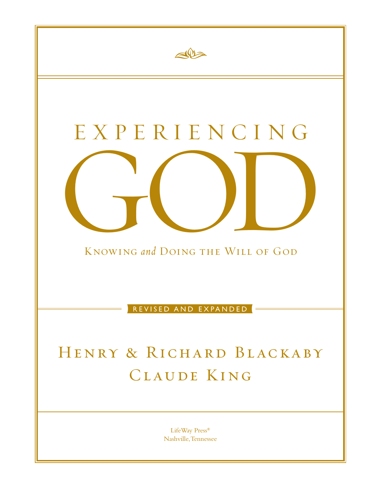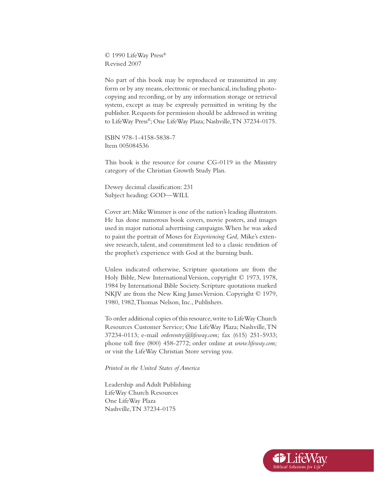© 1990 LifeWay Press® Revised 2007

No part of this book may be reproduced or transmitted in any form or by any means, electronic or mechanical, including photocopying and recording, or by any information storage or retrieval system, except as may be expressly permitted in writing by the publisher. Requests for permission should be addressed in writing to LifeWay Press®; One LifeWay Plaza; Nashville, TN 37234-0175.

ISBN 978-1-4158-5838-7 Item 005084536

This book is the resource for course CG-0119 in the Ministry category of the Christian Growth Study Plan.

Dewey decimal classification: 231 Subject heading: GOD—WILL

Cover art: Mike Wimmer is one of the nation's leading illustrators. He has done numerous book covers, movie posters, and images used in major national advertising campaigns. When he was asked to paint the portrait of Moses for *Experiencing God,* Mike's extensive research, talent, and commitment led to a classic rendition of the prophet's experience with God at the burning bush.

Unless indicated otherwise, Scripture quotations are from the Holy Bible, New International Version, copyright © 1973, 1978, 1984 by International Bible Society. Scripture quotations marked NKJV are from the New King James Version. Copyright © 1979, 1980, 1982, Thomas Nelson, Inc., Publishers.

To order additional copies of this resource, write to LifeWay Church Resources Customer Service; One LifeWay Plaza; Nashville, TN 37234-0113; e-mail *orderentry@lifeway.com;* fax (615) 251-5933; phone toll free (800) 458-2772; order online at *www.lifeway.com;* or visit the LifeWay Christian Store serving you.

*Printed in the United States of America*

Leadership and Adult Publishing LifeWay Church Resources One LifeWay Plaza Nashville, TN 37234-0175

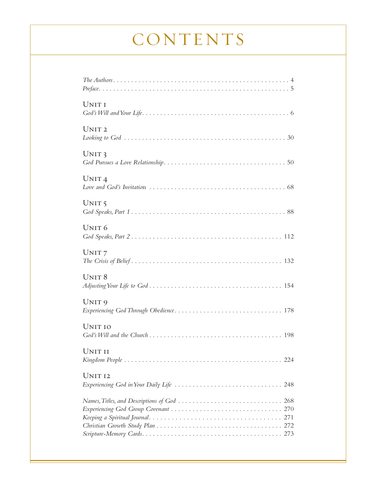# CONTENTS

| UNIT I                                         |
|------------------------------------------------|
| UNIT <sub>2</sub><br>Looking to $God \dots 30$ |
| UNIT <sub>3</sub>                              |
| UNIT <sub>4</sub>                              |
| UNIT <sub>5</sub>                              |
| UNIT <sub>6</sub>                              |
| UNIT <sub>7</sub>                              |
| UNIT <sub>8</sub>                              |
| UNIT <sub>9</sub>                              |
| UNIT 10                                        |
| Unit ii                                        |
| UNIT <sub>12</sub>                             |
|                                                |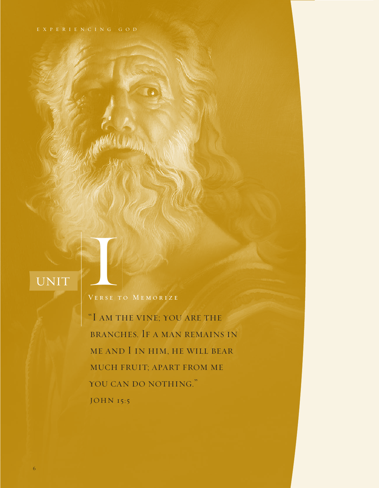# UNIT VERSE T

### Verse to Memorize

"I am the vine; you are the branches. If a man remains in me and I in him, he will bear much fruit; apart from me YOU CAN DO NOTHING." JOHN 15:5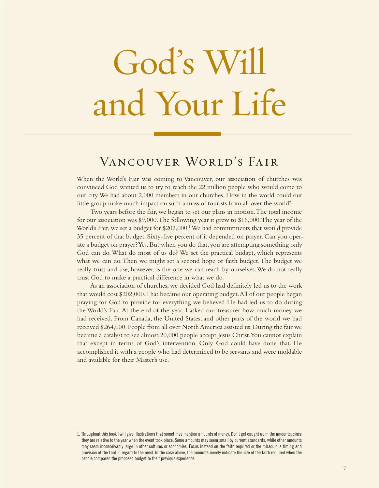# God's Will and Your Life

### Vancouver World's Fair

When the World's Fair was coming to Vancouver, our association of churches was convinced God wanted us to try to reach the 22 million people who would come to our city. We had about 2,000 members in our churches. How in the world could our little group make much impact on such a mass of tourists from all over the world?

Two years before the fair, we began to set our plans in motion. The total income for our association was \$9,000. The following year it grew to \$16,000. The year of the World's Fair, we set a budget for \$202,000.<sup>1</sup> We had commitments that would provide 35 percent of that budget. Sixty-five percent of it depended on prayer. Can you operate a budget on prayer? Yes. But when you do that, you are attempting something only God can do. What do most of us do? We set the practical budget, which represents what we can do. Then we might set a second hope or faith budget. The budget we really trust and use, however, is the one we can reach by ourselves. We do not really trust God to make a practical difference in what we do.

As an association of churches, we decided God had definitely led us to the work that would cost \$202,000. That became our operating budget. All of our people began praying for God to provide for everything we believed He had led us to do during the World's Fair. At the end of the year, I asked our treasurer how much money we had received. From Canada, the United States, and other parts of the world we had received \$264,000. People from all over North America assisted us. During the fair we became a catalyst to see almost 20,000 people accept Jesus Christ. You cannot explain that except in terms of God's intervention. Only God could have done that. He accomplished it with a people who had determined to be servants and were moldable and available for their Master's use.

 $\mathcal{L}$ 

<sup>1.</sup> Throughout this book I will give illustrations that sometimes mention amounts of money. Don't get caught up in the amounts, since they are relative to the year when the event took place. Some amounts may seem small by current standards, while other amounts may seem inconceivably large in other cultures or economies. Focus instead on the faith required or the miraculous timing and provision of the Lord in regard to the need. In the case above, the amounts merely indicate the size of the faith required when the people compared the proposed budget to their previous experience.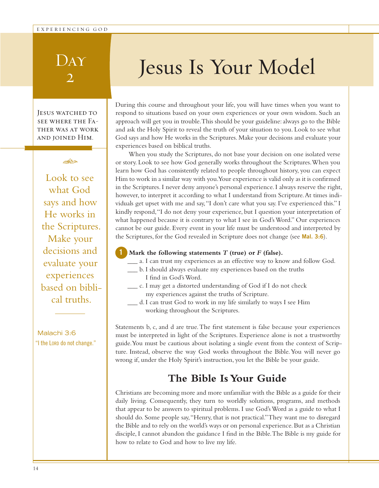### EXPERIENCING GOD

# $\int$  $\Delta$ Y  $\frac{1}{2}$

Jesus watched to see where the Father was at work and joined Him.

### $\triangle$

Look to see what God says and how He works in the Scriptures. Make your decisions and evaluate your experiences based on biblical truths.

Malachi 3:6 "I the LORD do not change."

# Jesus Is Your Model

During this course and throughout your life, you will have times when you want to respond to situations based on your own experiences or your own wisdom. Such an approach will get you in trouble. This should be your guideline: always go to the Bible and ask the Holy Spirit to reveal the truth of your situation to you. Look to see what God says and how He works in the Scriptures. Make your decisions and evaluate your experiences based on biblical truths.

When you study the Scriptures, do not base your decision on one isolated verse or story. Look to see how God generally works throughout the Scriptures. When you learn how God has consistently related to people throughout history, you can expect Him to work in a similar way with you. Your experience is valid only as it is confirmed in the Scriptures. I never deny anyone's personal experience. I always reserve the right, however, to interpret it according to what I understand from Scripture. At times individuals get upset with me and say, "I don't care what you say. I've experienced this." I kindly respond, "I do not deny your experience, but I question your interpretation of what happened because it is contrary to what I see in God's Word." Our experiences cannot be our guide. Every event in your life must be understood and interpreted by the Scriptures, for the God revealed in Scripture does not change (see **Mal. 3:6**).

### **Mark the following statements** *T* **(true) or** *F* **(false). 1**

- \_\_\_ a. I can trust my experiences as an effective way to know and follow God.
- \_\_\_ b. I should always evaluate my experiences based on the truths I find in God's Word.
- \_\_\_ c. I may get a distorted understanding of God if I do not check my experiences against the truths of Scripture.
- \_\_\_ d. I can trust God to work in my life similarly to ways I see Him working throughout the Scriptures.

Statements b, c, and d are true. The first statement is false because your experiences must be interpreted in light of the Scriptures. Experience alone is not a trustworthy guide. You must be cautious about isolating a single event from the context of Scripture. Instead, observe the way God works throughout the Bible. You will never go wrong if, under the Holy Spirit's instruction, you let the Bible be your guide.

### **The Bible Is Your Guide**

Christians are becoming more and more unfamiliar with the Bible as a guide for their daily living. Consequently, they turn to worldly solutions, programs, and methods that appear to be answers to spiritual problems. I use God's Word as a guide to what I should do. Some people say, "Henry, that is not practical." They want me to disregard the Bible and to rely on the world's ways or on personal experience. But as a Christian disciple, I cannot abandon the guidance I find in the Bible. The Bible is my guide for how to relate to God and how to live my life.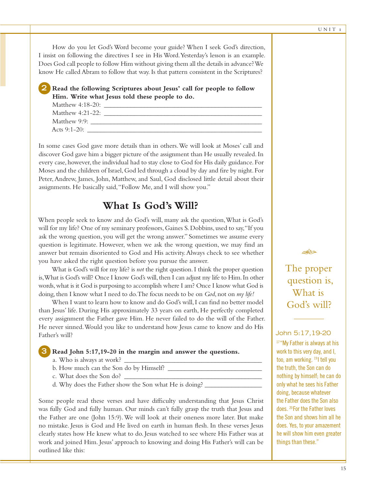How do you let God's Word become your guide? When I seek God's direction, I insist on following the directives I see in His Word. Yesterday's lesson is an example. Does God call people to follow Him without giving them all the details in advance? We know He called Abram to follow that way. Is that pattern consistent in the Scriptures?

**Read the following Scriptures about Jesus' call for people to follow Him. Write what Jesus told these people to do.**

| Matthew 4:21-22: | Matthew 4:18-20: |  |
|------------------|------------------|--|
|                  |                  |  |
| Matthew 9:9:     |                  |  |
| Acts $9:1-20$ :  |                  |  |

In some cases God gave more details than in others. We will look at Moses' call and discover God gave him a bigger picture of the assignment than He usually revealed. In every case, however, the individual had to stay close to God for His daily guidance. For Moses and the children of Israel, God led through a cloud by day and fire by night. For Peter, Andrew, James, John, Matthew, and Saul, God disclosed little detail about their assignments. He basically said, "Follow Me, and I will show you."

### **What Is God's Will?**

When people seek to know and do God's will, many ask the question, What is God's will for my life? One of my seminary professors, Gaines S. Dobbins, used to say, "If you ask the wrong question, you will get the wrong answer." Sometimes we assume every question is legitimate. However, when we ask the wrong question, we may find an answer but remain disoriented to God and His activity. Always check to see whether you have asked the right question before you pursue the answer.

What is God's will for my life? is *not* the right question. I think the proper question is, What is God's will? Once I know God's will, then I can adjust my life to Him. In other words, what is it God is purposing to accomplish where I am? Once I know what God is doing, then I know what I need to do. The focus needs to be on *God*, not on *my life!*

When I want to learn how to know and do God's will, I can find no better model than Jesus' life. During His approximately 33 years on earth, He perfectly completed every assignment the Father gave Him. He never failed to do the will of the Father. He never sinned. Would you like to understand how Jesus came to know and do His Father's will?

### **Read John 5:17,19-20 in the margin and answer the questions. 3**

a. Who is always at work?

**2**

- b. How much can the Son do by Himself?
- c. What does the Son do?
- d. Why does the Father show the Son what He is doing?

Some people read these verses and have difficulty understanding that Jesus Christ was fully God and fully human. Our minds can't fully grasp the truth that Jesus and the Father are one (John 15:9). We will look at their oneness more later. But make no mistake. Jesus is God and He lived on earth in human flesh. In these verses Jesus clearly states how He knew what to do. Jesus watched to see where His Father was at work and joined Him. Jesus' approach to knowing and doing His Father's will can be outlined like this:

### $\text{A}$

The proper question is, What is God's will?

### John 5:17,19-20

17"My Father is always at his work to this very day, and I, too, am working. <sup>19</sup> I tell you the truth, the Son can do nothing by himself; he can do only what he sees his Father doing, because whatever the Father does the Son also does. 20 For the Father loves the Son and shows him all he does. Yes, to your amazement he will show him even greater things than these."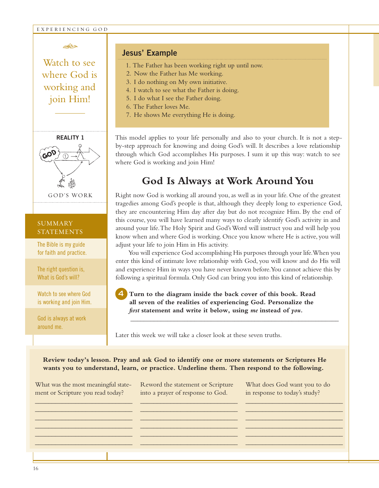### EXPERIENCING GOD

 $\triangle$ 

## Watch to see where God is working and join Him!



### SUMMARY STATEMENTS

The Bible is my guide for faith and practice.

The right question is, What is God's will?

Watch to see where God is working and join Him.

God is always at work around me.

### **Jesus' Example**

- 1. The Father has been working right up until now.
- 2. Now the Father has Me working.
- 3. I do nothing on My own initiative.
- 4. I watch to see what the Father is doing.
- 5. I do what I see the Father doing.
- 6. The Father loves Me.
- 7. He shows Me everything He is doing.

This model applies to your life personally and also to your church. It is not a stepby-step approach for knowing and doing God's will. It describes a love relationship through which God accomplishes His purposes. I sum it up this way: watch to see where God is working and join Him!

### **God Is Always at Work Around You**

Right now God is working all around you, as well as in your life. One of the greatest tragedies among God's people is that, although they deeply long to experience God, they are encountering Him day after day but do not recognize Him. By the end of this course, you will have learned many ways to clearly identify God's activity in and around your life. The Holy Spirit and God's Word will instruct you and will help you know when and where God is working. Once you know where He is active, you will adjust your life to join Him in His activity.

You will experience God accomplishing His purposes through your life. When you enter this kind of intimate love relationship with God, you will know and do His will and experience Him in ways you have never known before. You cannot achieve this by following a spiritual formula. Only God can bring you into this kind of relationship.

\_\_\_\_\_\_\_\_\_\_\_\_\_\_\_\_\_\_\_\_\_\_\_\_\_\_\_\_\_\_\_\_\_\_\_\_\_\_\_\_\_\_\_\_\_\_\_\_\_\_\_\_\_\_\_\_\_\_\_\_\_\_

**Turn to the diagram inside the back cover of this book. Read all seven of the realities of experiencing God. Personalize the**  *fi rst* **statement and write it below, using** *me* **instead of** *you.* **4**

Later this week we will take a closer look at these seven truths.

**Review today's lesson. Pray and ask God to identify one or more statements or Scriptures He wants you to understand, learn, or practice. Underline them. Then respond to the following.**

What was the most meaningful statement or Scripture you read today?

 $\_$  $\_$  $\_$  $\_$  $\_$  $\_$ 

Reword the statement or Scripture into a prayer of response to God.

\_\_\_\_\_\_\_\_\_\_\_\_\_\_\_\_\_\_\_\_\_\_\_\_\_\_\_\_\_ \_\_\_\_\_\_\_\_\_\_\_\_\_\_\_\_\_\_\_\_\_\_\_\_\_\_\_\_\_ \_\_\_\_\_\_\_\_\_\_\_\_\_\_\_\_\_\_\_\_\_\_\_\_\_\_\_\_\_ \_\_\_\_\_\_\_\_\_\_\_\_\_\_\_\_\_\_\_\_\_\_\_\_\_\_\_\_\_ \_\_\_\_\_\_\_\_\_\_\_\_\_\_\_\_\_\_\_\_\_\_\_\_\_\_\_\_\_ \_\_\_\_\_\_\_\_\_\_\_\_\_\_\_\_\_\_\_\_\_\_\_\_\_\_\_\_\_

What does God want you to do in response to today's study?

\_\_\_\_\_\_\_\_\_\_\_\_\_\_\_\_\_\_\_\_\_\_\_\_\_\_\_\_\_ \_\_\_\_\_\_\_\_\_\_\_\_\_\_\_\_\_\_\_\_\_\_\_\_\_\_\_\_\_ \_\_\_\_\_\_\_\_\_\_\_\_\_\_\_\_\_\_\_\_\_\_\_\_\_\_\_\_\_ \_\_\_\_\_\_\_\_\_\_\_\_\_\_\_\_\_\_\_\_\_\_\_\_\_\_\_\_\_ \_\_\_\_\_\_\_\_\_\_\_\_\_\_\_\_\_\_\_\_\_\_\_\_\_\_\_\_\_ \_\_\_\_\_\_\_\_\_\_\_\_\_\_\_\_\_\_\_\_\_\_\_\_\_\_\_\_\_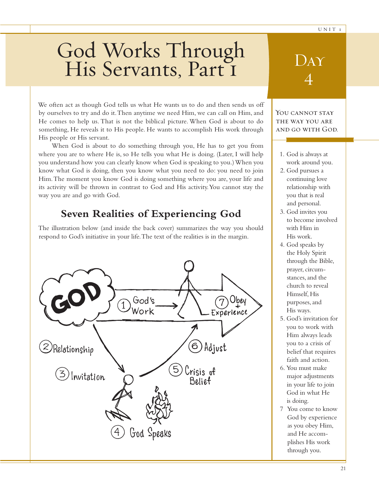# God Works Through His Servants, Part 1

We often act as though God tells us what He wants us to do and then sends us off by ourselves to try and do it. Then anytime we need Him, we can call on Him, and He comes to help us. That is not the biblical picture. When God is about to do something, He reveals it to His people. He wants to accomplish His work through His people or His servant.

When God is about to do something through you, He has to get you from where you are to where He is, so He tells you what He is doing. (Later, I will help you understand how you can clearly know when God is speaking to you.) When you know what God is doing, then you know what you need to do: you need to join Him. The moment you know God is doing something where you are, your life and its activity will be thrown in contrast to God and His activity. You cannot stay the way you are and go with God.

### **Seven Realities of Experiencing God**

The illustration below (and inside the back cover) summarizes the way you should respond to God's initiative in your life. The text of the realities is in the margin.



### YOU CANNOT STAY the way you are and go with God.

 $\lambda$ 

 $\frac{1}{4}$ 

- 1. God is always at work around you.
- 2. God pursues a continuing love relationship with you that is real and personal.
- 3. God invites you to become involved with Him in His work.
- 4. God speaks by the Holy Spirit through the Bible, prayer, circumstances, and the church to reveal Himself, His purposes, and His ways.
- 5. God's invitation for you to work with Him always leads you to a crisis of belief that requires faith and action.
- 6. You must make major adjustments in your life to join God in what He is doing.
- 7 You come to know God by experience as you obey Him, and He accomplishes His work through you.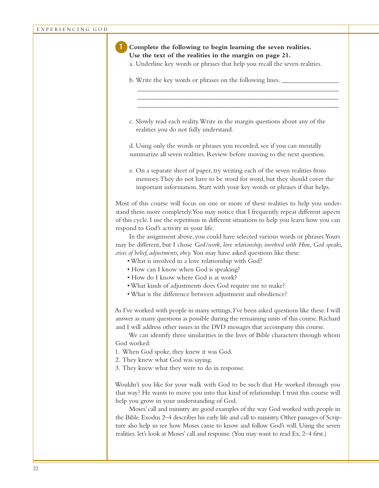

the Bible. Exodus 2–4 describes his early life and call to ministry. Other passages of Scripture also help us see how Moses came to know and follow God's will. Using the seven realities, let's look at Moses' call and response. (You may want to read Ex. 2–4 first.)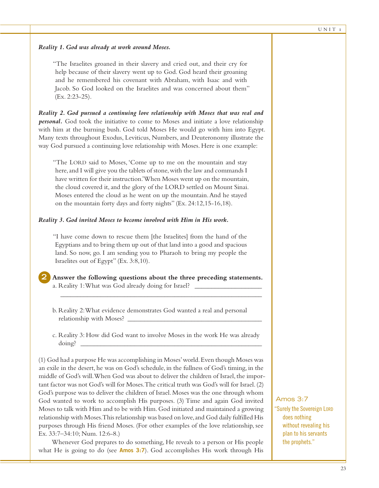### *Reality 1. God was already at work around Moses.*

"The Israelites groaned in their slavery and cried out, and their cry for help because of their slavery went up to God. God heard their groaning and he remembered his covenant with Abraham, with Isaac and with Jacob. So God looked on the Israelites and was concerned about them" (Ex. 2:23-25).

*Reality 2. God pursued a continuing love relationship with Moses that was real and personal.* God took the initiative to come to Moses and initiate a love relationship with him at the burning bush. God told Moses He would go with him into Egypt. Many texts throughout Exodus, Leviticus, Numbers, and Deuteronomy illustrate the way God pursued a continuing love relationship with Moses. Here is one example:

"The LORD said to Moses, 'Come up to me on the mountain and stay here, and I will give you the tablets of stone, with the law and commands I have written for their instruction.' When Moses went up on the mountain, the cloud covered it, and the glory of the LORD settled on Mount Sinai. Moses entered the cloud as he went on up the mountain. And he stayed on the mountain forty days and forty nights" (Ex. 24:12,15-16,18).

### *Reality 3. God invited Moses to become involved with Him in His work.*

**2**

"I have come down to rescue them [the Israelites] from the hand of the Egyptians and to bring them up out of that land into a good and spacious land. So now, go. I am sending you to Pharaoh to bring my people the Israelites out of Egypt" (Ex. 3:8,10).

**Answer the following questions about the three preceding statements.** a. Reality 1: What was God already doing for Israel?

\_\_\_\_\_\_\_\_\_\_\_\_\_\_\_\_\_\_\_\_\_\_\_\_\_\_\_\_\_\_\_\_\_\_\_\_\_\_\_\_\_\_\_\_\_\_\_\_\_\_\_\_\_\_\_\_\_\_\_\_

- b. Reality 2: What evidence demonstrates God wanted a real and personal relationship with Moses? \_
- c. Reality 3: How did God want to involve Moses in the work He was already doing?

(1) God had a purpose He was accomplishing in Moses' world. Even though Moses was an exile in the desert, he was on God's schedule, in the fullness of God's timing, in the middle of God's will. When God was about to deliver the children of Israel, the important factor was not God's will for Moses. The critical truth was God's will for Israel. (2) God's purpose was to deliver the children of Israel. Moses was the one through whom God wanted to work to accomplish His purposes. (3) Time and again God invited Moses to talk with Him and to be with Him. God initiated and maintained a growing relationship with Moses. This relationship was based on love, and God daily fulfilled His purposes through His friend Moses. (For other examples of the love relationship, see Ex. 33:7–34:10; Num. 12:6-8.)

Whenever God prepares to do something, He reveals to a person or His people what He is going to do (see **Amos 3:7**). God accomplishes His work through His

### Amos 3:7

"Surely the Sovereign LORD does nothing without revealing his plan to his servants the prophets."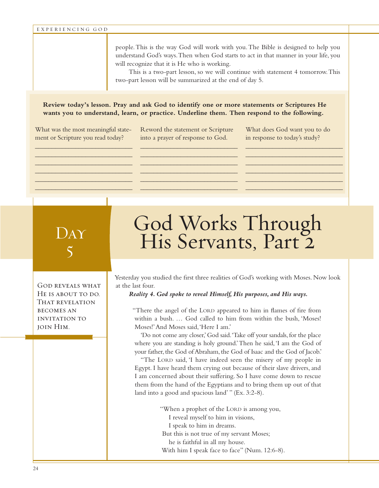### EXPERIENCING GOD

people. This is the way God will work with you. The Bible is designed to help you understand God's ways. Then when God starts to act in that manner in your life, you will recognize that it is He who is working.

This is a two-part lesson, so we will continue with statement 4 tomorrow. This two-part lesson will be summarized at the end of day 5.

### **Review today's lesson. Pray and ask God to identify one or more statements or Scriptures He wants you to understand, learn, or practice. Underline them. Then respond to the following.**

What was the most meaningful statement or Scripture you read today?

 $\_$  $\_$  $\_$  $\_$  $\_$  $\_$  Reword the statement or Scripture into a prayer of response to God.

\_\_\_\_\_\_\_\_\_\_\_\_\_\_\_\_\_\_\_\_\_\_\_\_\_\_\_\_\_ \_\_\_\_\_\_\_\_\_\_\_\_\_\_\_\_\_\_\_\_\_\_\_\_\_\_\_\_\_ \_\_\_\_\_\_\_\_\_\_\_\_\_\_\_\_\_\_\_\_\_\_\_\_\_\_\_\_\_ \_\_\_\_\_\_\_\_\_\_\_\_\_\_\_\_\_\_\_\_\_\_\_\_\_\_\_\_\_ \_\_\_\_\_\_\_\_\_\_\_\_\_\_\_\_\_\_\_\_\_\_\_\_\_\_\_\_\_ \_\_\_\_\_\_\_\_\_\_\_\_\_\_\_\_\_\_\_\_\_\_\_\_\_\_\_\_\_ What does God want you to do in response to today's study?

\_\_\_\_\_\_\_\_\_\_\_\_\_\_\_\_\_\_\_\_\_\_\_\_\_\_\_\_\_ \_\_\_\_\_\_\_\_\_\_\_\_\_\_\_\_\_\_\_\_\_\_\_\_\_\_\_\_\_ \_\_\_\_\_\_\_\_\_\_\_\_\_\_\_\_\_\_\_\_\_\_\_\_\_\_\_\_\_ \_\_\_\_\_\_\_\_\_\_\_\_\_\_\_\_\_\_\_\_\_\_\_\_\_\_\_\_\_ \_\_\_\_\_\_\_\_\_\_\_\_\_\_\_\_\_\_\_\_\_\_\_\_\_\_\_\_\_ \_\_\_\_\_\_\_\_\_\_\_\_\_\_\_\_\_\_\_\_\_\_\_\_\_\_\_\_\_

# $\bigcup$   $\Lambda \Upsilon$  $\frac{1}{5}$

God reveals what HE IS ABOUT TO DO. THAT REVELATION becomes an invitation to join Him.

# God Works Through His Servants, Part 2

Yesterday you studied the first three realities of God's working with Moses. Now look at the last four.

*Reality 4. God spoke to reveal Himself, His purposes, and His ways.*

"There the angel of the LORD appeared to him in flames of fire from within a bush. … God called to him from within the bush, 'Moses! Moses!' And Moses said, 'Here I am.'

 'Do not come any closer,' God said. 'Take off your sandals, for the place where you are standing is holy ground.' Then he said, 'I am the God of your father, the God of Abraham, the God of Isaac and the God of Jacob.'

 "The LORD said, 'I have indeed seen the misery of my people in Egypt. I have heard them crying out because of their slave drivers, and I am concerned about their suffering. So I have come down to rescue them from the hand of the Egyptians and to bring them up out of that land into a good and spacious land' " (Ex. 3:2-8).

> "When a prophet of the LORD is among you, I reveal myself to him in visions, I speak to him in dreams. But this is not true of my servant Moses; he is faithful in all my house. With him I speak face to face" (Num. 12:6-8).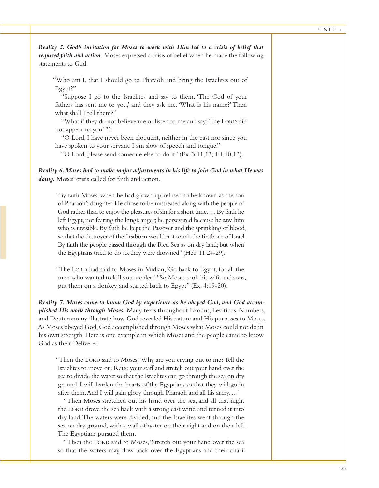*Reality 5. God's invitation for Moses to work with Him led to a crisis of belief that required faith and action.* Moses expressed a crisis of belief when he made the following statements to God.

"Who am I, that I should go to Pharaoh and bring the Israelites out of Egypt?"

 "Suppose I go to the Israelites and say to them, 'The God of your fathers has sent me to you,' and they ask me, 'What is his name?' Then what shall I tell them?"

 "What if they do not believe me or listen to me and say, 'The LORD did not appear to you' "?

 "O Lord, I have never been eloquent, neither in the past nor since you have spoken to your servant. I am slow of speech and tongue."

"O Lord, please send someone else to do it" (Ex. 3:11,13; 4:1,10,13).

*Reality 6. Moses had to make major adjustments in his life to join God in what He was doing.* Moses' crisis called for faith and action.

"By faith Moses, when he had grown up, refused to be known as the son of Pharaoh's daughter. He chose to be mistreated along with the people of God rather than to enjoy the pleasures of sin for a short time. … By faith he left Egypt, not fearing the king's anger; he persevered because he saw him who is invisible. By faith he kept the Passover and the sprinkling of blood, so that the destroyer of the firstborn would not touch the firstborn of Israel. By faith the people passed through the Red Sea as on dry land; but when the Egyptians tried to do so, they were drowned" (Heb. 11:24-29).

"The LORD had said to Moses in Midian, 'Go back to Egypt, for all the men who wanted to kill you are dead.' So Moses took his wife and sons, put them on a donkey and started back to Egypt" (Ex. 4:19-20).

*Reality 7. Moses came to know God by experience as he obeyed God, and God accomplished His work through Moses.* Many texts throughout Exodus, Leviticus, Numbers, and Deuteronomy illustrate how God revealed His nature and His purposes to Moses. As Moses obeyed God, God accomplished through Moses what Moses could not do in his own strength. Here is one example in which Moses and the people came to know God as their Deliverer.

"Then the LORD said to Moses, 'Why are you crying out to me? Tell the Israelites to move on. Raise your staff and stretch out your hand over the sea to divide the water so that the Israelites can go through the sea on dry ground. I will harden the hearts of the Egyptians so that they will go in after them. And I will gain glory through Pharaoh and all his army. …'

 "Then Moses stretched out his hand over the sea, and all that night the LORD drove the sea back with a strong east wind and turned it into dry land. The waters were divided, and the Israelites went through the sea on dry ground, with a wall of water on their right and on their left. The Egyptians pursued them.

 "Then the LORD said to Moses, 'Stretch out your hand over the sea so that the waters may flow back over the Egyptians and their chari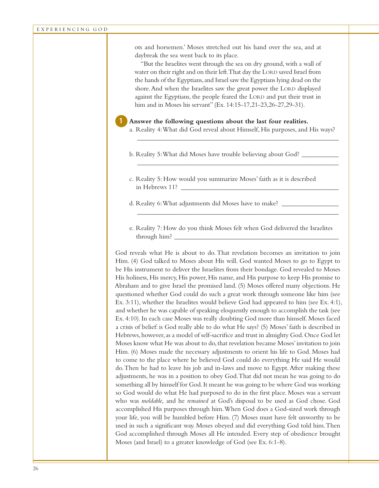**1**

ots and horsemen.' Moses stretched out his hand over the sea, and at daybreak the sea went back to its place.

 "But the Israelites went through the sea on dry ground, with a wall of water on their right and on their left. That day the LORD saved Israel from the hands of the Egyptians, and Israel saw the Egyptians lying dead on the shore. And when the Israelites saw the great power the LORD displayed against the Egyptians, the people feared the LORD and put their trust in him and in Moses his servant" (Ex. 14:15-17,21-23,26-27,29-31).

### **Answer the following questions about the last four realities.**

a. Reality 4: What did God reveal about Himself, His purposes, and His ways?

\_\_\_\_\_\_\_\_\_\_\_\_\_\_\_\_\_\_\_\_\_\_\_\_\_\_\_\_\_\_\_\_\_\_\_\_\_\_\_\_\_\_\_\_\_\_\_\_\_\_\_\_\_\_\_\_\_\_\_\_

\_\_\_\_\_\_\_\_\_\_\_\_\_\_\_\_\_\_\_\_\_\_\_\_\_\_\_\_\_\_\_\_\_\_\_\_\_\_\_\_\_\_\_\_\_\_\_\_\_\_\_\_\_\_\_\_\_\_\_\_

\_\_\_\_\_\_\_\_\_\_\_\_\_\_\_\_\_\_\_\_\_\_\_\_\_\_\_\_\_\_\_\_\_\_\_\_\_\_\_\_\_\_\_\_\_\_\_\_\_\_\_\_\_\_\_\_\_\_\_\_

- b. Reality 5: What did Moses have trouble believing about God?
- c. Reality 5: How would you summarize Moses' faith as it is described in Hebrews 11? \_\_\_\_\_\_\_\_\_\_\_\_\_\_\_\_\_\_\_\_\_\_\_\_\_\_\_\_\_\_\_\_\_\_\_\_\_\_\_\_\_\_\_\_\_\_\_
- d. Reality 6: What adjustments did Moses have to make? \_
- e. Reality 7: How do you think Moses felt when God delivered the Israelites through him? \_\_\_\_\_\_\_\_\_\_\_\_\_\_\_\_\_\_\_\_\_\_\_\_\_\_\_\_\_\_\_\_\_\_\_\_\_\_\_\_\_\_\_\_\_\_\_\_\_

God reveals what He is about to do. That revelation becomes an invitation to join Him. (4) God talked to Moses about His will. God wanted Moses to go to Egypt to be His instrument to deliver the Israelites from their bondage. God revealed to Moses His holiness, His mercy, His power, His name, and His purpose to keep His promise to Abraham and to give Israel the promised land. (5) Moses offered many objections. He questioned whether God could do such a great work through someone like him (see Ex. 3:11), whether the Israelites would believe God had appeared to him (see Ex. 4:1), and whether he was capable of speaking eloquently enough to accomplish the task (see Ex. 4:10). In each case Moses was really doubting God more than himself. Moses faced a crisis of belief: is God really able to do what He says? (5) Moses' faith is described in Hebrews, however, as a model of self-sacrifice and trust in almighty God. Once God let Moses know what He was about to do, that revelation became Moses' invitation to join Him. (6) Moses made the necessary adjustments to orient his life to God. Moses had to come to the place where he believed God could do everything He said He would do. Then he had to leave his job and in-laws and move to Egypt. After making these adjustments, he was in a position to obey God. That did not mean he was going to do something all by himself for God. It meant he was going to be where God was working so God would do what He had purposed to do in the first place. Moses was a servant who was *moldable,* and he *remained* at God's disposal to be used as God chose. God accomplished His purposes through him. When God does a God-sized work through your life, you will be humbled before Him. (7) Moses must have felt unworthy to be used in such a significant way. Moses obeyed and did everything God told him. Then God accomplished through Moses all He intended. Every step of obedience brought Moses (and Israel) to a greater knowledge of God (see Ex. 6:1-8).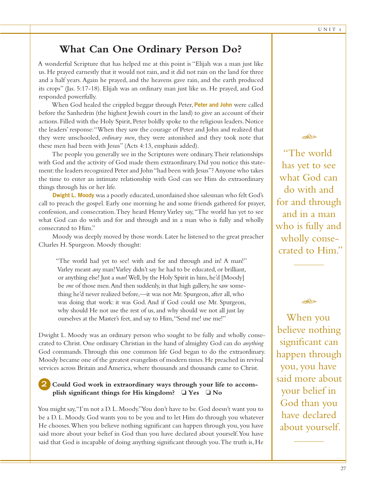### **What Can One Ordinary Person Do?**

A wonderful Scripture that has helped me at this point is "Elijah was a man just like us. He prayed earnestly that it would not rain, and it did not rain on the land for three and a half years. Again he prayed, and the heavens gave rain, and the earth produced its crops" (Jas. 5:17-18). Elijah was an ordinary man just like us. He prayed, and God responded powerfully.

When God healed the crippled beggar through Peter, **Peter and John** were called before the Sanhedrin (the highest Jewish court in the land) to give an account of their actions. Filled with the Holy Spirit, Peter boldly spoke to the religious leaders. Notice the leaders' response: "When they saw the courage of Peter and John and realized that they were unschooled, *ordinary men,* they were astonished and they took note that these men had been with Jesus" (Acts 4:13, emphasis added).

The people you generally see in the Scriptures were ordinary. Their relationships with God and the activity of God made them extraordinary. Did you notice this statement: the leaders recognized Peter and John "had been with Jesus"? Anyone who takes the time to enter an intimate relationship with God can see Him do extraordinary things through his or her life.

**Dwight L. Moody** was a poorly educated, unordained shoe salesman who felt God's call to preach the gospel. Early one morning he and some friends gathered for prayer, confession, and consecration. They heard Henry Varley say, "The world has yet to see what God can do with and for and through and in a man who is fully and wholly consecrated to Him."

Moody was deeply moved by those words. Later he listened to the great preacher Charles H. Spurgeon. Moody thought:

"The world had yet to see! with and for and through and in! A man!" Varley meant *any* man! Varley didn't say he had to be educated, or brilliant, or anything else! Just a *man*! Well, by the Holy Spirit in him, he'd [Moody] be *one* of those men. And then suddenly, in that high gallery, he saw something he'd never realized before,—it was not Mr. Spurgeon, after all, who was doing that work: it was God. And if God could use Mr. Spurgeon, why should He not use the rest of us, and why should we not all just lay ourselves at the Master's feet, and say to Him, "Send me! use me!"

Dwight L. Moody was an ordinary person who sought to be fully and wholly consecrated to Christ. One ordinary Christian in the hand of almighty God can do *anything*  God commands. Through this one common life God began to do the extraordinary. Moody became one of the greatest evangelists of modern times. He preached in revival services across Britain and America, where thousands and thousands came to Christ.

### **Could God work in extraordinary ways through your life to accomplish signifi cant things for His kingdom?** ❏ **Yes** ❏ **No 2**

You might say, "I'm not a D. L. Moody." You don't have to be. God doesn't want you to be a D. L. Moody. God wants you to be you and to let Him do through you whatever He chooses. When you believe nothing significant can happen through you, you have said more about your belief in God than you have declared about yourself. You have said that God is incapable of doing anything significant through you. The truth is, He

"The world has yet to see what God can do with and for and through and in a man who is fully and wholly consecrated to Him."

 $\triangle 2$ 

When you believe nothing significant can happen through you, you have said more about your belief in God than you have declared about yourself.

 $\triangle$